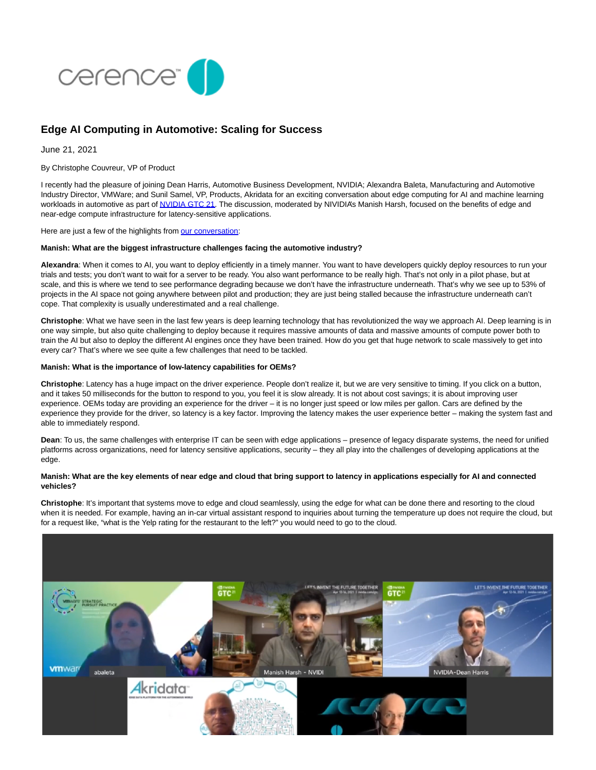

# **Edge AI Computing in Automotive: Scaling for Success**

June 21, 2021

By Christophe Couvreur, VP of Product

I recently had the pleasure of joining Dean Harris, Automotive Business Development, NVIDIA; Alexandra Baleta, Manufacturing and Automotive Industry Director, VMWare; and Sunil Samel, VP, Products, Akridata for an exciting conversation about edge computing for AI and machine learning workloads in automotive as part o[f NVIDIA GTC 21.](https://www.nvidia.com/en-us/gtc/) The discussion, moderated by NIVIDIA's Manish Harsh, focused on the benefits of edge and near-edge compute infrastructure for latency-sensitive applications.

Here are just a few of the highlights from [our conversation:](https://gtc21.event.nvidia.com/media/Edge%20Computing%20for%20AI_ML%20Workloads%20in%20Automotive%20%5BS32394%5D/1_dtig5fbc)

## **Manish: What are the biggest infrastructure challenges facing the automotive industry?**

**Alexandra**: When it comes to AI, you want to deploy efficiently in a timely manner. You want to have developers quickly deploy resources to run your trials and tests; you don't want to wait for a server to be ready. You also want performance to be really high. That's not only in a pilot phase, but at scale, and this is where we tend to see performance degrading because we don't have the infrastructure underneath. That's why we see up to 53% of projects in the AI space not going anywhere between pilot and production; they are just being stalled because the infrastructure underneath can't cope. That complexity is usually underestimated and a real challenge.

**Christophe**: What we have seen in the last few years is deep learning technology that has revolutionized the way we approach AI. Deep learning is in one way simple, but also quite challenging to deploy because it requires massive amounts of data and massive amounts of compute power both to train the AI but also to deploy the different AI engines once they have been trained. How do you get that huge network to scale massively to get into every car? That's where we see quite a few challenges that need to be tackled.

#### **Manish: What is the importance of low-latency capabilities for OEMs?**

**Christophe**: Latency has a huge impact on the driver experience. People don't realize it, but we are very sensitive to timing. If you click on a button, and it takes 50 milliseconds for the button to respond to you, you feel it is slow already. It is not about cost savings; it is about improving user experience. OEMs today are providing an experience for the driver – it is no longer just speed or low miles per gallon. Cars are defined by the experience they provide for the driver, so latency is a key factor. Improving the latency makes the user experience better – making the system fast and able to immediately respond.

**Dean**: To us, the same challenges with enterprise IT can be seen with edge applications – presence of legacy disparate systems, the need for unified platforms across organizations, need for latency sensitive applications, security – they all play into the challenges of developing applications at the edge.

# **Manish: What are the key elements of near edge and cloud that bring support to latency in applications especially for AI and connected vehicles?**

**Christophe**: It's important that systems move to edge and cloud seamlessly, using the edge for what can be done there and resorting to the cloud when it is needed. For example, having an in-car virtual assistant respond to inquiries about turning the temperature up does not require the cloud, but for a request like, "what is the Yelp rating for the restaurant to the left?" you would need to go to the cloud.